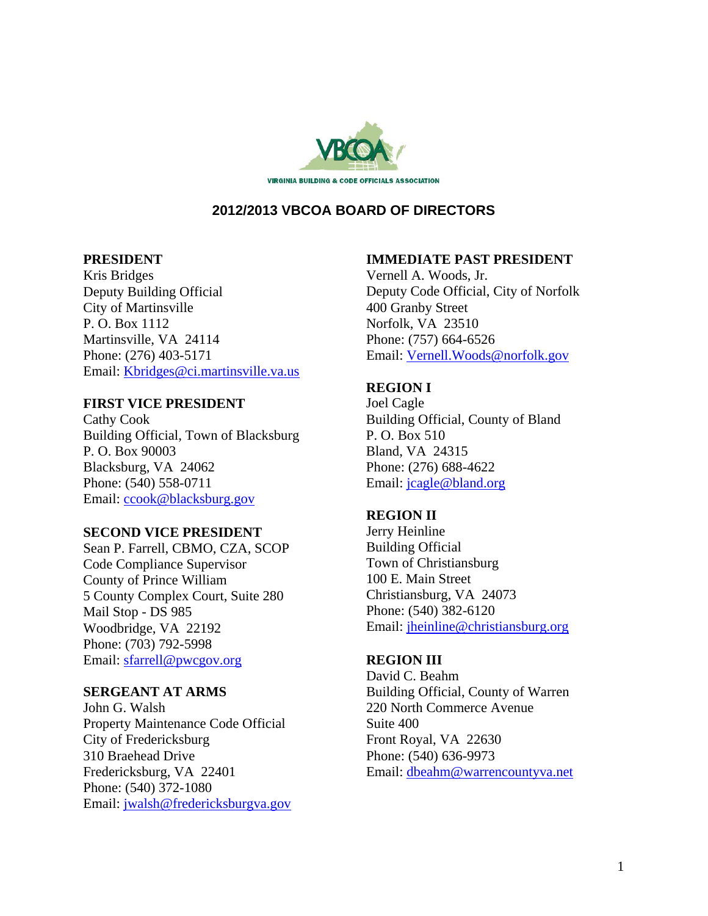

# **2012/2013 VBCOA BOARD OF DIRECTORS**

## **PRESIDENT**

Kris Bridges Deputy Building Official City of Martinsville P. O. Box 1112 Martinsville, VA 24114 Phone: (276) 403-5171 Email: Kbridges@ci.martinsville.va.us

## **FIRST VICE PRESIDENT**

Cathy Cook Building Official, Town of Blacksburg P. O. Box 90003 Blacksburg, VA 24062 Phone: (540) 558-0711 Email: ccook@blacksburg.gov

## **SECOND VICE PRESIDENT**

Sean P. Farrell, CBMO, CZA, SCOP Code Compliance Supervisor County of Prince William 5 County Complex Court, Suite 280 Mail Stop - DS 985 Woodbridge, VA 22192 Phone: (703) 792-5998 Email: sfarrell@pwcgov.org

## **SERGEANT AT ARMS**

John G. Walsh Property Maintenance Code Official City of Fredericksburg 310 Braehead Drive Fredericksburg, VA 22401 Phone: (540) 372-1080 Email: jwalsh@fredericksburgva.gov

# **IMMEDIATE PAST PRESIDENT**

Vernell A. Woods, Jr. Deputy Code Official, City of Norfolk 400 Granby Street Norfolk, VA 23510 Phone: (757) 664-6526 Email: Vernell.Woods@norfolk.gov

# **REGION I**

Joel Cagle Building Official, County of Bland P. O. Box 510 Bland, VA 24315 Phone: (276) 688-4622 Email: jcagle@bland.org

# **REGION II**

Jerry Heinline Building Official Town of Christiansburg 100 E. Main Street Christiansburg, VA 24073 Phone: (540) 382-6120 Email: jheinline@christiansburg.org

# **REGION III**

David C. Beahm Building Official, County of Warren 220 North Commerce Avenue Suite 400 Front Royal, VA 22630 Phone: (540) 636-9973 Email: dbeahm@warrencountyva.net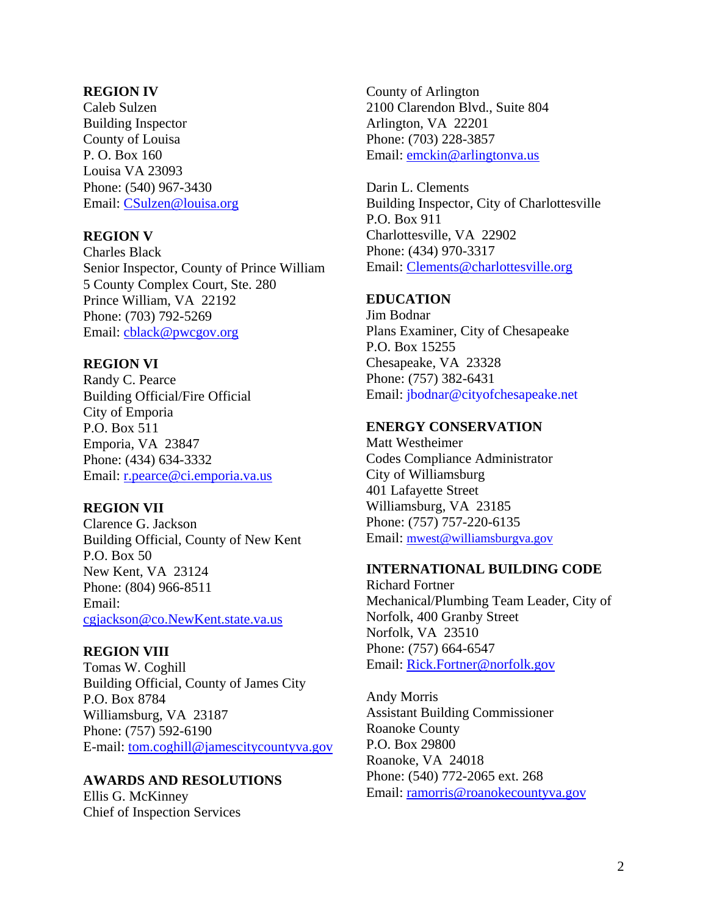### **REGION IV**

Caleb Sulzen Building Inspector County of Louisa P. O. Box 160 Louisa VA 23093 Phone: (540) 967-3430 Email: CSulzen@louisa.org

### **REGION V**

Charles Black Senior Inspector, County of Prince William 5 County Complex Court, Ste. 280 Prince William, VA 22192 Phone: (703) 792-5269 Email: cblack@pwcgov.org

#### **REGION VI**

Randy C. Pearce Building Official/Fire Official City of Emporia P.O. Box 511 Emporia, VA 23847 Phone: (434) 634-3332 Email: r.pearce@ci.emporia.va.us

#### **REGION VII**

Clarence G. Jackson Building Official, County of New Kent P.O. Box 50 New Kent, VA 23124 Phone: (804) 966-8511 Email: cgjackson@co.NewKent.state.va.us

#### **REGION VIII**

Tomas W. Coghill Building Official, County of James City P.O. Box 8784 Williamsburg, VA 23187 Phone: (757) 592-6190 E-mail: tom.coghill@jamescitycountyva.gov

#### **AWARDS AND RESOLUTIONS**

Ellis G. McKinney Chief of Inspection Services County of Arlington 2100 Clarendon Blvd., Suite 804 Arlington, VA 22201 Phone: (703) 228-3857 Email: emckin@arlingtonva.us

Darin L. Clements Building Inspector, City of Charlottesville P.O. Box 911 Charlottesville, VA 22902 Phone: (434) 970-3317 Email: Clements@charlottesville.org

## **EDUCATION**

Jim Bodnar Plans Examiner, City of Chesapeake P.O. Box 15255 Chesapeake, VA 23328 Phone: (757) 382-6431 Email: jbodnar@cityofchesapeake.net

## **ENERGY CONSERVATION**

Matt Westheimer Codes Compliance Administrator City of Williamsburg 401 Lafayette Street Williamsburg, VA 23185 Phone: (757) 757-220-6135 Email: mwest@williamsburgva.gov

#### **INTERNATIONAL BUILDING CODE**

Richard Fortner Mechanical/Plumbing Team Leader, City of Norfolk, 400 Granby Street Norfolk, VA 23510 Phone: (757) 664-6547 Email: Rick.Fortner@norfolk.gov

Andy Morris Assistant Building Commissioner Roanoke County P.O. Box 29800 Roanoke, VA 24018 Phone: (540) 772-2065 ext. 268 Email: ramorris@roanokecountyva.gov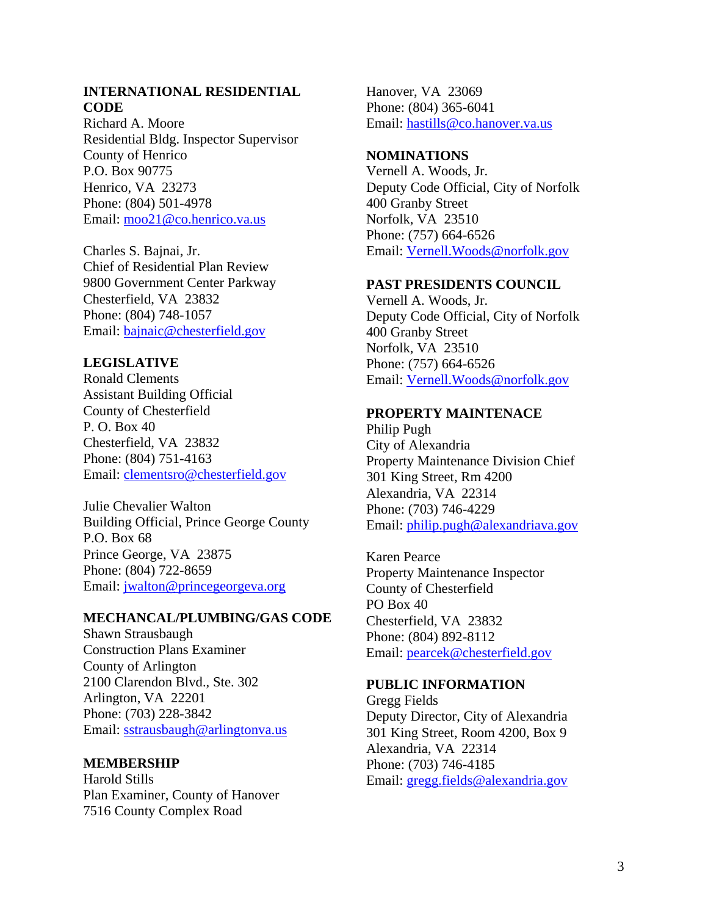## **INTERNATIONAL RESIDENTIAL CODE**

Richard A. Moore Residential Bldg. Inspector Supervisor County of Henrico P.O. Box 90775 Henrico, VA 23273 Phone: (804) 501-4978 Email: moo21@co.henrico.va.us

Charles S. Bajnai, Jr. Chief of Residential Plan Review 9800 Government Center Parkway Chesterfield, VA 23832 Phone: (804) 748-1057 Email: bajnaic@chesterfield.gov

# **LEGISLATIVE**

Ronald Clements Assistant Building Official County of Chesterfield P. O. Box 40 Chesterfield, VA 23832 Phone: (804) 751-4163 Email: clementsro@chesterfield.gov

Julie Chevalier Walton Building Official, Prince George County P.O. Box 68 Prince George, VA 23875 Phone: (804) 722-8659 Email: jwalton@princegeorgeva.org

## **MECHANCAL/PLUMBING/GAS CODE**

Shawn Strausbaugh Construction Plans Examiner County of Arlington 2100 Clarendon Blvd., Ste. 302 Arlington, VA 22201 Phone: (703) 228-3842 Email: sstrausbaugh@arlingtonva.us

## **MEMBERSHIP**

Harold Stills Plan Examiner, County of Hanover 7516 County Complex Road

Hanover, VA 23069 Phone: (804) 365-6041 Email: hastills@co.hanover.va.us

### **NOMINATIONS**

Vernell A. Woods, Jr. Deputy Code Official, City of Norfolk 400 Granby Street Norfolk, VA 23510 Phone: (757) 664-6526 Email: Vernell.Woods@norfolk.gov

### **PAST PRESIDENTS COUNCIL**

Vernell A. Woods, Jr. Deputy Code Official, City of Norfolk 400 Granby Street Norfolk, VA 23510 Phone: (757) 664-6526 Email: Vernell.Woods@norfolk.gov

# **PROPERTY MAINTENACE**

Philip Pugh City of Alexandria Property Maintenance Division Chief 301 King Street, Rm 4200 Alexandria, VA 22314 Phone: (703) 746-4229 Email: philip.pugh@alexandriava.gov

Karen Pearce Property Maintenance Inspector County of Chesterfield PO Box 40 Chesterfield, VA 23832 Phone: (804) 892-8112 Email: pearcek@chesterfield.gov

#### **PUBLIC INFORMATION**

Gregg Fields Deputy Director, City of Alexandria 301 King Street, Room 4200, Box 9 Alexandria, VA 22314 Phone: (703) 746-4185 Email: gregg.fields@alexandria.gov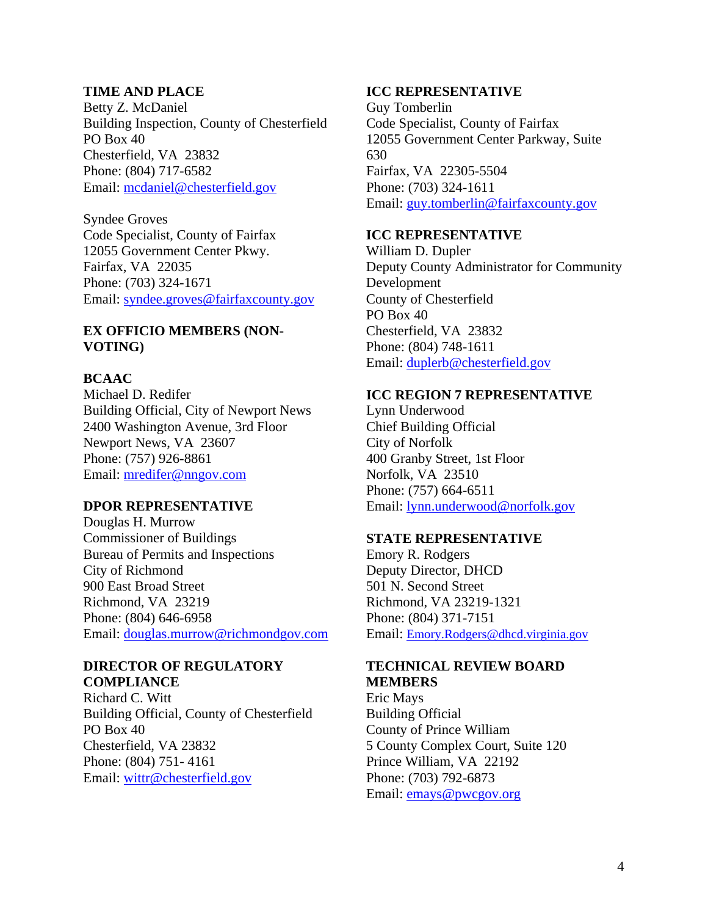## **TIME AND PLACE**

Betty Z. McDaniel Building Inspection, County of Chesterfield PO Box 40 Chesterfield, VA 23832 Phone: (804) 717-6582 Email: mcdaniel@chesterfield.gov

Syndee Groves Code Specialist, County of Fairfax 12055 Government Center Pkwy. Fairfax, VA 22035 Phone: (703) 324-1671 Email: syndee.groves@fairfaxcounty.gov

## **EX OFFICIO MEMBERS (NON-VOTING)**

# **BCAAC**

Michael D. Redifer Building Official, City of Newport News 2400 Washington Avenue, 3rd Floor Newport News, VA 23607 Phone: (757) 926-8861 Email: mredifer@nngov.com

#### **DPOR REPRESENTATIVE**

Douglas H. Murrow Commissioner of Buildings Bureau of Permits and Inspections City of Richmond 900 East Broad Street Richmond, VA 23219 Phone: (804) 646-6958 Email: douglas.murrow@richmondgov.com

#### **DIRECTOR OF REGULATORY COMPLIANCE**

Richard C. Witt Building Official, County of Chesterfield PO Box 40 Chesterfield, VA 23832 Phone: (804) 751- 4161 Email: wittr@chesterfield.gov

#### **ICC REPRESENTATIVE**

Guy Tomberlin Code Specialist, County of Fairfax 12055 Government Center Parkway, Suite 630 Fairfax, VA 22305-5504 Phone: (703) 324-1611 Email: guy.tomberlin@fairfaxcounty.gov

### **ICC REPRESENTATIVE**

William D. Dupler Deputy County Administrator for Community Development County of Chesterfield PO Box 40 Chesterfield, VA 23832 Phone: (804) 748-1611 Email: duplerb@chesterfield.gov

# **ICC REGION 7 REPRESENTATIVE**

Lynn Underwood Chief Building Official City of Norfolk 400 Granby Street, 1st Floor Norfolk, VA 23510 Phone: (757) 664-6511 Email: lynn.underwood@norfolk.gov

#### **STATE REPRESENTATIVE**

Emory R. Rodgers Deputy Director, DHCD 501 N. Second Street Richmond, VA 23219-1321 Phone: (804) 371-7151 Email: Emory.Rodgers@dhcd.virginia.gov

# **TECHNICAL REVIEW BOARD MEMBERS**

Eric Mays Building Official County of Prince William 5 County Complex Court, Suite 120 Prince William, VA 22192 Phone: (703) 792-6873 Email: emays@pwcgov.org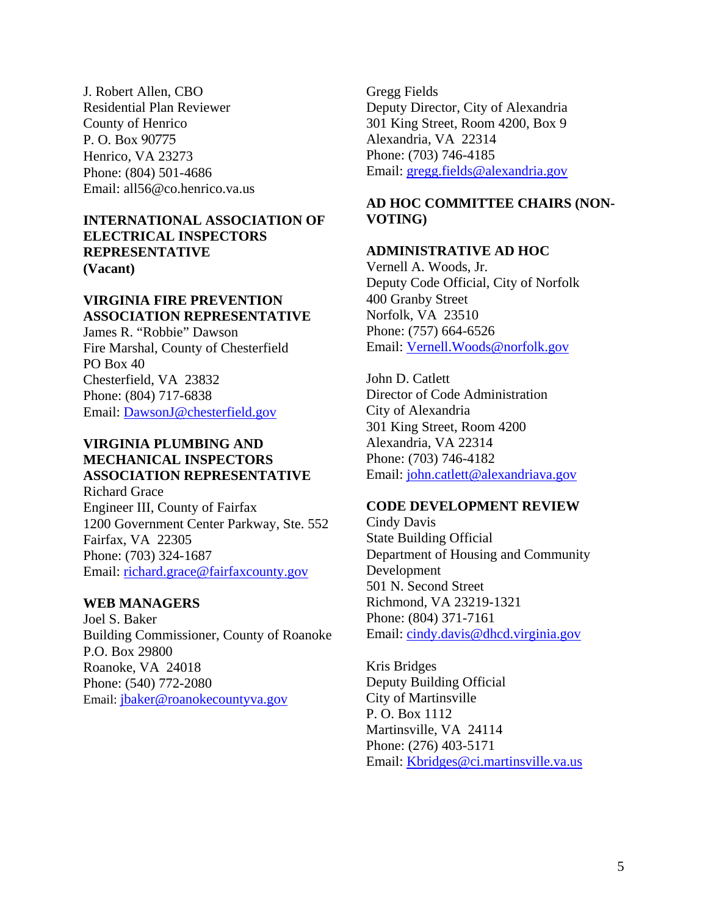J. Robert Allen, CBO Residential Plan Reviewer County of Henrico P. O. Box 90775 Henrico, VA 23273 Phone: (804) 501-4686 Email: all56@co.henrico.va.us

# **INTERNATIONAL ASSOCIATION OF ELECTRICAL INSPECTORS REPRESENTATIVE (Vacant)**

# **VIRGINIA FIRE PREVENTION ASSOCIATION REPRESENTATIVE**

James R. "Robbie" Dawson Fire Marshal, County of Chesterfield PO Box 40 Chesterfield, VA 23832 Phone: (804) 717-6838 Email: DawsonJ@chesterfield.gov

### **VIRGINIA PLUMBING AND MECHANICAL INSPECTORS ASSOCIATION REPRESENTATIVE**  Richard Grace

Engineer III, County of Fairfax 1200 Government Center Parkway, Ste. 552 Fairfax, VA 22305 Phone: (703) 324-1687 Email: richard.grace@fairfaxcounty.gov

# **WEB MANAGERS**

Joel S. Baker Building Commissioner, County of Roanoke P.O. Box 29800 Roanoke, VA 24018 Phone: (540) 772-2080 Email: jbaker@roanokecountyva.gov

Gregg Fields Deputy Director, City of Alexandria 301 King Street, Room 4200, Box 9 Alexandria, VA 22314 Phone: (703) 746-4185 Email: gregg.fields@alexandria.gov

# **AD HOC COMMITTEE CHAIRS (NON-VOTING)**

# **ADMINISTRATIVE AD HOC**

Vernell A. Woods, Jr. Deputy Code Official, City of Norfolk 400 Granby Street Norfolk, VA 23510 Phone: (757) 664-6526 Email: Vernell.Woods@norfolk.gov

John D. Catlett Director of Code Administration City of Alexandria 301 King Street, Room 4200 Alexandria, VA 22314 Phone: (703) 746-4182 Email: john.catlett@alexandriava.gov

# **CODE DEVELOPMENT REVIEW**

Cindy Davis State Building Official Department of Housing and Community Development 501 N. Second Street Richmond, VA 23219-1321 Phone: (804) 371-7161 Email: cindy.davis@dhcd.virginia.gov

Kris Bridges Deputy Building Official City of Martinsville P. O. Box 1112 Martinsville, VA 24114 Phone: (276) 403-5171 Email: Kbridges@ci.martinsville.va.us